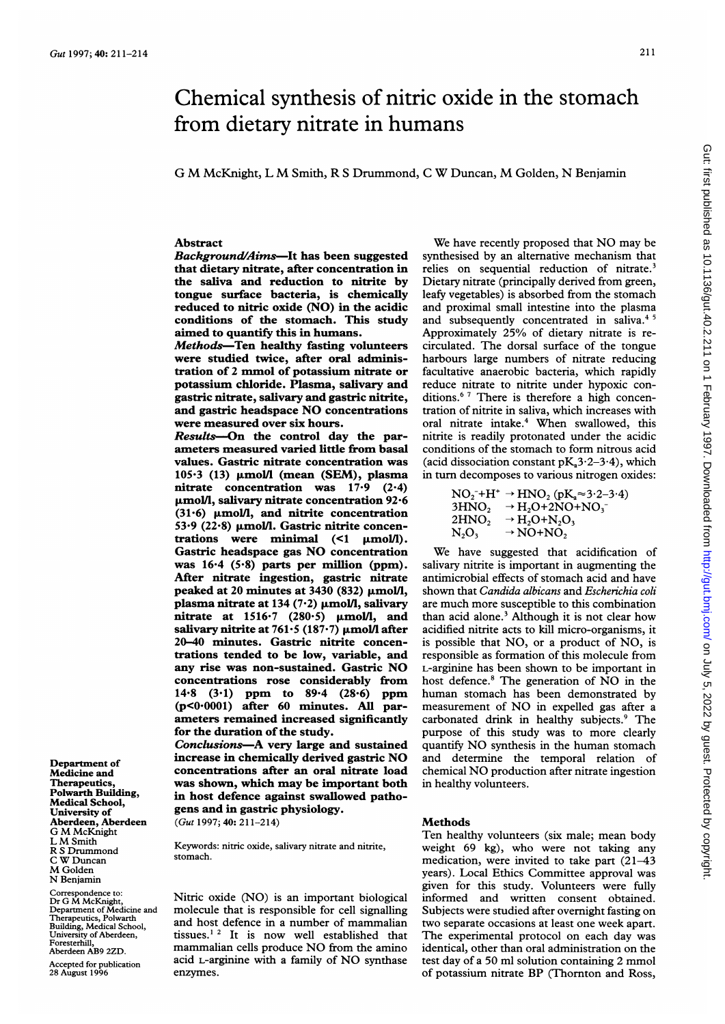# Chemical synthesis of nitric oxide in the stomach from dietary nitrate in humans

G M McKnight, <sup>L</sup> M Smith, R <sup>S</sup> Drummond, <sup>C</sup> W Duncan, M Golden, N Benjamin

## Abstract

Background/Aims-It has been suggested that dietary nitrate, after concentration in the saliva and reduction to nitrite by tongue surface bacteria, is chemically reduced to nitric oxide (NO) in the acidic conditions of the stomach. This study aimed to quantify this in humans.

Methods-Ten healthy fasting volunteers were studied twice, after oral administration of <sup>2</sup> mmol of potassium nitrate or potassium chloride. Plasma, salivary and gastric nitrate, salivary and gastric nitrite, and gastric headspace NO concentrations were measured over six hours.

Results-On the control day the parameters measured varied little from basal values. Gastric nitrate concentration was  $105.3$  (13)  $\mu$ mol/l (mean (SEM), plasma nitrate concentration was 17-9 (2.4) umol/l, salivary nitrate concentration 92.6 (31.6)  $\mu$ mol/l, and nitrite concentration 53 $\cdot$ 9 (22 $\cdot$ 8)  $\mu$ mol/l. Gastric nitrite concentrations were minimal  $(1 \mu \text{mol/l})$ . Gastric headspace gas NO concentration was 16-4 (5-8) parts per million (ppm). After nitrate ingestion, gastric nitrate peaked at 20 minutes at  $3430$  (832)  $\mu$ mol/l, plasma nitrate at 134 (7 $\cdot$ 2)  $\mu$ mol/l, salivary nitrate at  $1516.7$  (280.5)  $\mu$ mol/l, and salivary nitrite at 761.5 (187.7)  $\mu$ mol/l after 20-40 minutes. Gastric nitrite concentrations tended to be low, variable, and any rise was non-sustained. Gastric NO concentrations rose considerably from 14-8 (3.1) ppm to 89-4 (28.6) ppm (p<0.0001) after 60 minutes. All parameters remained increased significantly for the duration of the study.

Conclusions-A very large and sustained increase in chemically derived gastric NO concentrations after an oral nitrate load was shown, which may be important both in host defence against swallowed pathogens and in gastric physiology. (Gut 1997; 40: 211-214)

Keywords: nitric oxide, salivary nitrate and nitrite, stomach.

Nitric oxide (NO) is an important biological molecule that is responsible for cell signalling and host defence in a number of mammalian tissues.' <sup>2</sup> It is now well established that mammalian cells produce NO from the amino acid L-arginine with <sup>a</sup> family of NO synthase enzymes.

We have recently proposed that NO may be synthesised by an alternative mechanism that relies on sequential reduction of nitrate.<sup>3</sup> Dietary nitrate (principally derived from green, leafy vegetables) is absorbed from the stomach and proximal small intestine into the plasma and subsequently concentrated in saliva.<sup>45</sup> Approximately 25% of dietary nitrate is recirculated. The dorsal surface of the tongue harbours large numbers of nitrate reducing facultative anaerobic bacteria, which rapidly reduce nitrate to nitrite under hypoxic conditions.6 <sup>7</sup> There is therefore a high concentration of nitrite in saliva, which increases with oral nitrate intake.<sup>4</sup> When swallowed, this nitrite is readily protonated under the acidic conditions of the stomach to form nitrous acid (acid dissociation constant  $pK<sub>a</sub>3.2-3.4$ ), which in turn decomposes to various nitrogen oxides:

|                   | $NO2-+H+ \rightarrow HNO2 (pKa\approx 3.2-3.4)$              |
|-------------------|--------------------------------------------------------------|
| 3HNO <sub>2</sub> | $\rightarrow$ H <sub>2</sub> O+2NO+NO <sub>3</sub>           |
| 2HNO <sub>2</sub> | $\rightarrow$ H <sub>2</sub> O+N <sub>2</sub> O <sub>3</sub> |
| $N_2O_3$          | $\rightarrow$ NO+NO,                                         |

We have suggested that acidification of salivary nitrite is important in augmenting the antimicrobial effects of stomach acid and have shown that Candida albicans and Escherichia coli are much more susceptible to this combination than acid alone.3 Although it is not clear how acidified nitrite acts to kill micro-organisms, it is possible that NO, or <sup>a</sup> product of NO, is responsible as formation of this molecule from L-arginine has been shown to be important in host defence.<sup>8</sup> The generation of NO in the human stomach has been demonstrated by measurement of NO in expelled gas after <sup>a</sup> carbonated drink in healthy subjects.<sup>9</sup> The purpose of this study was to more clearly quantify NO synthesis in the human stomach and determine the temporal relation of chemical NO production after nitrate ingestion in healthy volunteers.

## **Methods**

Ten healthy volunteers (six male; mean body weight 69 kg), who were not taking any medication, were invited to take part (21-43 years). Local Ethics Committee approval was given for this study. Volunteers were fully informed and written consent obtained. Subjects were studied after overnight fasting on two separate occasions at least one week apart. The experimental protocol on each day was identical, other than oral administration on the test day of <sup>a</sup> 50 ml solution containing 2 mmol of potassium nitrate BP (Thornton and Ross,

Department of Medicine and **Therapeutics** Polwarth Building, Medical School, University of Aberdeen, Aberdeen G M McKnight <sup>L</sup> M Smith R S Drummond C W Duncan M Golden N Benjamin

Correspondence to: Dr G M McKnight, Department of Medicine and Therapeutics, Polwarth Building, Medical School, University of Aberdeen, Foresterhill, Aberdeen AB9 2ZD.

Accepted for publication 28 August 1996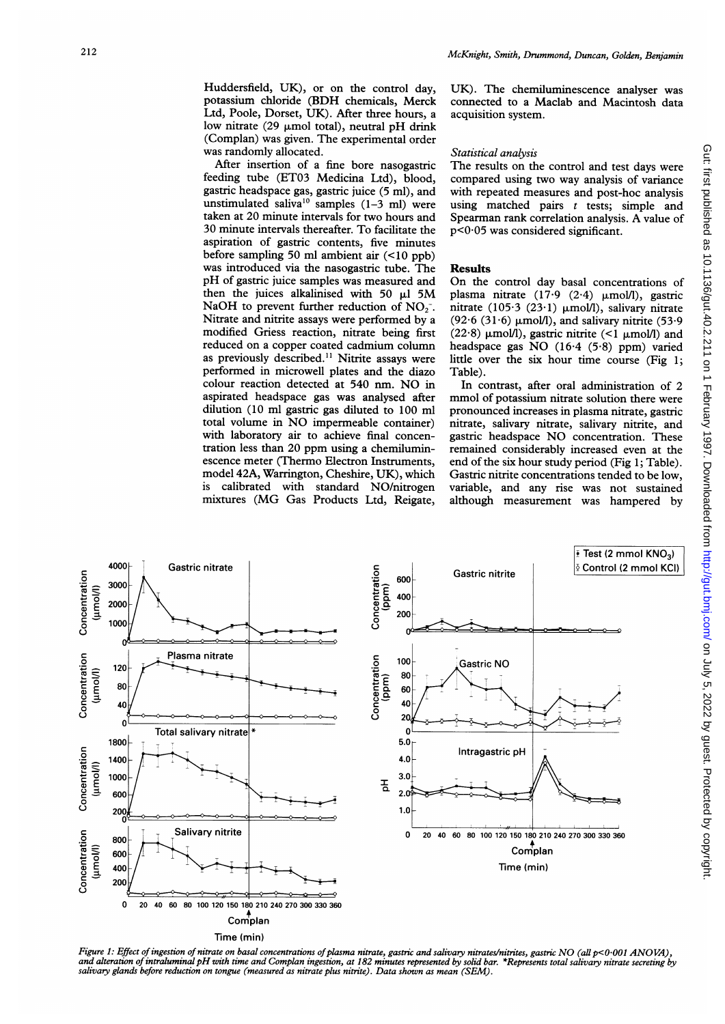Huddersfield, UK), or on the control day, potassium chloride (BDH chemicals, Merck Ltd, Poole, Dorset, UK). After three hours, a low nitrate (29  $\mu$ mol total), neutral pH drink (Complan) was given. The experimental order was randomly allocated.

After insertion of a fine bore nasogastric feeding tube (ET03 Medicina Ltd), blood, gastric headspace gas, gastric juice (5 ml), and unstimulated saliva<sup>10</sup> samples  $(1-3$  ml) were taken at 20 minute intervals for two hours and 30 minute intervals thereafter. To facilitate the aspiration of gastric contents, five minutes before sampling 50 ml ambient air (<10 ppb) was introduced via the nasogastric tube. The pH of gastric juice samples was measured and then the juices alkalinised with 50  $\mu$ I 5M NaOH to prevent further reduction of  $NO<sub>2</sub>$ . Nitrate and nitrite assays were performed by a modified Griess reaction, nitrate being first reduced on a copper coated cadmium column as previously described.<sup>11</sup> Nitrite assays were performed in microwell plates and the diazo colour reaction detected at <sup>540</sup> nm. NO in aspirated headspace gas was analysed after dilution (10 ml gastric gas diluted to 100 ml total volume in NO impermeable container) with laboratory air to achieve final concentration less than 20 ppm using <sup>a</sup> chemiluminescence meter (Thermo Electron Instruments, model 42A, Warrington, Cheshire, UK), which<br>is calibrated with standard NO/nitrogen calibrated with standard NO/nitrogen mixtures (MG Gas Products Ltd, Reigate,

UK). The chemiluminescence analyser was connected to a Maclab and Macintosh data acquisition system.

### Statistical analysis

The results on the control and test days were compared using two way analysis of variance with repeated measures and post-hoc analysis using matched pairs  $t$  tests; simple and Spearman rank correlation analysis. A value of  $p<0.05$  was considered significant.

#### Results

On the control day basal concentrations of plasma nitrate  $(17.9 (2.4) \mu \text{mol/l})$ , gastric nitrate (105.3 (23.1)  $\mu$ mol/l), salivary nitrate (92.6 (31.6)  $\mu$ mol/l), and salivary nitrite (53.9) (22.8)  $\mu$ mol/l), gastric nitrite (<1  $\mu$ mol/l) and headspace gas NO (16.4 (5.8) ppm) varied little over the six hour time course (Fig 1; Table).

In contrast, after oral administration of 2 mmol of potassium nitrate solution there were pronounced increases in plasma nitrate, gastric nitrate, salivary nitrate, salivary nitrite, and gastric headspace NO concentration. These remained considerably increased even at the end of the six hour study period (Fig 1; Table). Gastric nitrite concentrations tended to be low, variable, and any rise was not sustained although measurement was hampered by



Figure 1: Effect of ingestion of nitrate on basal concentrations of plasma nitrate, gastric and salivary nitrates/nitrites, gastric NO (all p<0.001 ANOVA), and alteration of intraluminal pH with time and Complan ingestion, salivary glands before reduction on tongue (measured as nitrate plus nitrite). Data shown as mean (SEM).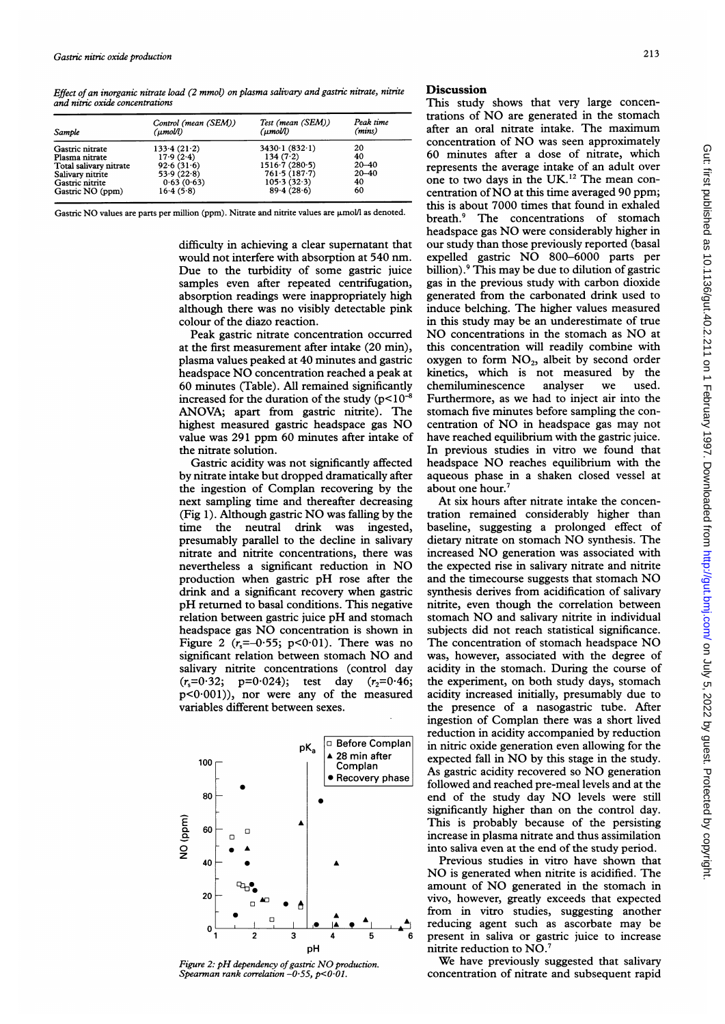Effect of an inorganic nitrate load (2 mmol) on plasma salivary and gastric nitrate, nitrite and nitric oxide concentrations

| Sample                 | Control (mean (SEM))<br>(µmol/l) | Test (mean (SEM))<br>$(\mu mol/l)$ | Peak time<br>(mins) |
|------------------------|----------------------------------|------------------------------------|---------------------|
| Gastric nitrate        | 133.4(21.2)                      | $3430 \cdot 1 (832 \cdot 1)$       | 20                  |
| Plasma nitrate         | 17.9(2.4)                        | 134(7.2)                           | 40                  |
| Total salivary nitrate | 92.6(31.6)                       | $1516 \cdot 7 (280 \cdot 5)$       | $20 - 40$           |
| Salivary nitrite       | 53.9(22.8)                       | 761.5(187.7)                       | $20 - 40$           |
| Gastric nitrite        | 0.63(0.63)                       | 105.3(32.3)                        | 40                  |
| Gastric NO (ppm)       | 16.4(5.8)                        | 89.4(28.6)                         | 60                  |

Gastric NO values are parts per million (ppm). Nitrate and nitrite values are  $\mu$ mol/l as denoted.

difficulty in achieving a clear supernatant that would not interfere with absorption at 540 nm. Due to the turbidity of some gastric juice samples even after repeated centrifugation, absorption readings were inappropriately high although there was no visibly detectable pink colour of the diazo reaction.

Peak gastric nitrate concentration occurred at the first measurement after intake (20 min), plasma values peaked at 40 minutes and gastric headspace NO concentration reached <sup>a</sup> peak at 60 minutes (Table). All remained significantly increased for the duration of the study  $(p<10^{-8})$ ANOVA; apart from gastric nitrite). The highest measured gastric headspace gas NO value was 291 ppm 60 minutes after intake of the nitrate solution.

Gastric acidity was not significantly affected by nitrate intake but dropped dramatically after the ingestion of Complan recovering by the next sampling time and thereafter decreasing (Fig 1). Although gastric NO was falling by the time the neutral drink was ingested, presumably parallel to the decline in salivary nitrate and nitrite concentrations, there was nevertheless <sup>a</sup> significant reduction in NO production when gastric pH rose after the drink and a significant recovery when gastric pH returned to basal conditions. This negative relation between gastric juice pH and stomach headspace gas NO concentration is shown in Figure 2  $(r_s=-0.55; p<0.01)$ . There was no significant relation between stomach NO and salivary nitrite concentrations (control day  $(r_s=0.32; p=0.024);$  test day  $(r_2=0.46;$ p<0-001)), nor were any of the measured variables different between sexes.



Figure 2: pH dependency of gastric NO production. Spearman rank correlation  $-0.55$ ,  $p < 0.01$ .

### **Discussion**

This study shows that very large concentrations of NO are generated in the stomach after an oral nitrate intake. The maximum concentration of NO was seen approximately 60 minutes after a dose of nitrate, which represents the average intake of an adult over one to two days in the UK.12 The mean concentration ofNO at this time averaged <sup>90</sup> ppm; this is about 7000 times that found in exhaled<br>breath.<sup>9</sup> The concentrations of stomach The concentrations of stomach headspace gas NO were considerably higher in our study than those previously reported (basal expelled gastric NO 800-6000 parts per billion).<sup>9</sup> This may be due to dilution of gastric gas in the previous study with carbon dioxide generated from the carbonated drink used to induce belching. The higher values measured in this study may be an underestimate of true <sup>I</sup> NO concentrations in the stomach as NO at this concentration will readily combine with oxygen to form  $NO<sub>2</sub>$ , albeit by second order kinetics, which is not measured by the chemiluminescence analyser we used. Furthermore, as we had to inject air into the stomach five minutes before sampling the concentration of NO in headspace gas may not have reached equilibrium with the gastric juice. In previous studies in vitro we found that headspace NO reaches equilibrium with the aqueous phase in a shaken closed vessel at about one hour.<sup>7</sup>

At six hours after nitrate intake the concentration remained considerably higher than baseline, suggesting a prolonged effect of dietary nitrate on stomach NO synthesis. The increased NO generation was associated with the expected rise in salivary nitrate and nitrite and the timecourse suggests that stomach NO synthesis derives from acidification of salivary nitrite, even though the correlation between stomach NO and salivary nitrite in individual subjects did not reach statistical significance. The concentration of stomach headspace NO was, however, associated with the degree of acidity in the stomach. During the course of the experiment, on both study days, stomach acidity increased initially, presumably due to the presence of a nasogastric tube. After ingestion of Complan there was a short lived reduction in acidity accompanied by reduction in nitric oxide generation even allowing for the expected fall in NO by this stage in the study. As gastric acidity recovered so NO generation followed and reached pre-meal levels and at the end of the study day NO levels were still significantly higher than on the control day. This is probably because of the persisting increase in plasma nitrate and thus assimilation into saliva even at the end of the study period.

Previous studies in vitro have shown that NO is generated when nitrite is acidified. The amount of NO generated in the stomach in vivo, however, greatly exceeds that expected from in vitro studies, suggesting another reducing agent such as ascorbate may be present in saliva or gastric juice to increase nitrite reduction to NO.7

We have previously suggested that salivary concentration of nitrate and subsequent rapid